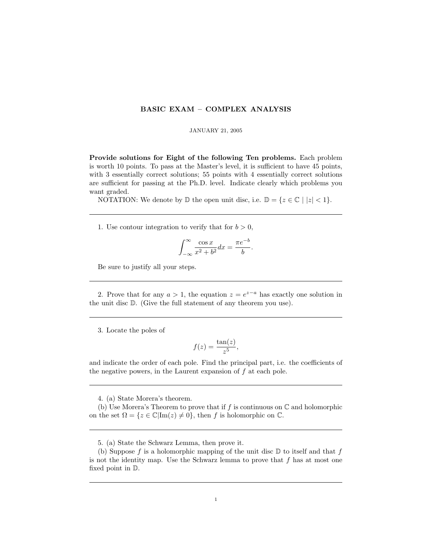## BASIC EXAM – COMPLEX ANALYSIS

## JANUARY 21, 2005

Provide solutions for Eight of the following Ten problems. Each problem is worth 10 points. To pass at the Master's level, it is sufficient to have 45 points, with 3 essentially correct solutions; 55 points with 4 essentially correct solutions are sufficient for passing at the Ph.D. level. Indicate clearly which problems you want graded.

NOTATION: We denote by  $\mathbb D$  the open unit disc, i.e.  $\mathbb D = \{z \in \mathbb C \mid |z| < 1\}.$ 

1. Use contour integration to verify that for  $b > 0$ ,

$$
\int_{-\infty}^{\infty} \frac{\cos x}{x^2 + b^2} dx = \frac{\pi e^{-b}}{b}.
$$

Be sure to justify all your steps.

2. Prove that for any  $a > 1$ , the equation  $z = e^{z-a}$  has exactly one solution in the unit disc D. (Give the full statement of any theorem you use).

3. Locate the poles of

$$
f(z) = \frac{\tan(z)}{z^5},
$$

and indicate the order of each pole. Find the principal part, i.e. the coefficients of the negative powers, in the Laurent expansion of  $f$  at each pole.

4. (a) State Morera's theorem.

(b) Use Morera's Theorem to prove that if  $f$  is continuous on  $\mathbb C$  and holomorphic on the set  $\Omega = \{z \in \mathbb{C} | \text{Im}(z) \neq 0\}$ , then f is holomorphic on  $\mathbb{C}$ .

<sup>5. (</sup>a) State the Schwarz Lemma, then prove it.

<sup>(</sup>b) Suppose f is a holomorphic mapping of the unit disc  $D$  to itself and that f is not the identity map. Use the Schwarz lemma to prove that  $f$  has at most one fixed point in D.